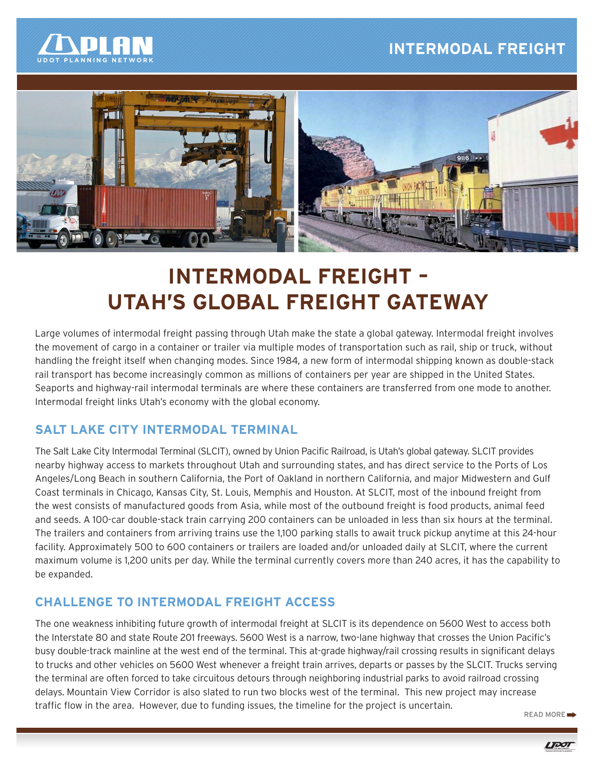# **INTERMODAL FREIGHT**





# **INTERMODAL FREIGHT – UTAH'S GLOBAL FREIGHT GATEWAY**

Large volumes of intermodal freight passing through Utah make the state a global gateway. Intermodal freight involves the movement of cargo in a container or trailer via multiple modes of transportation such as rail, ship or truck, without handling the freight itself when changing modes. Since 1984, a new form of intermodal shipping known as double-stack rail transport has become increasingly common as millions of containers per year are shipped in the United States. Seaports and highway-rail intermodal terminals are where these containers are transferred from one mode to another. Intermodal freight links Utah's economy with the global economy.

# **SALT LAKE CITY INTERMODAL TERMINAL**

The Salt Lake City Intermodal Terminal (SLCIT), owned by Union Pacific Railroad, is Utah's global gateway. SLCIT provides nearby highway access to markets throughout Utah and surrounding states, and has direct service to the Ports of Los Angeles/Long Beach in southern California, the Port of Oakland in northern California, and major Midwestern and Gulf Coast terminals in Chicago, Kansas City, St. Louis, Memphis and Houston. At SLCIT, most of the inbound freight from the west consists of manufactured goods from Asia, while most of the outbound freight is food products, animal feed and seeds. A 100-car double-stack train carrying 200 containers can be unloaded in less than six hours at the terminal. The trailers and containers from arriving trains use the 1,100 parking stalls to await truck pickup anytime at this 24-hour facility. Approximately 500 to 600 containers or trailers are loaded and/or unloaded daily at SLCIT, where the current maximum volume is 1,200 units per day. While the terminal currently covers more than 240 acres, it has the capability to be expanded.

# **CHALLENGE TO INTERMODAL FREIGHT ACCESS**

The one weakness inhibiting future growth of intermodal freight at SLCIT is its dependence on 5600 West to access both the Interstate 80 and state Route 201 freeways. 5600 West is a narrow, two-lane highway that crosses the Union Pacific's busy double-track mainline at the west end of the terminal. This at-grade highway/rail crossing results in significant delays to trucks and other vehicles on 5600 West whenever a freight train arrives, departs or passes by the SLCIT. Trucks serving the terminal are often forced to take circuitous detours through neighboring industrial parks to avoid railroad crossing delays. Mountain View Corridor is also slated to run two blocks west of the terminal. This new project may increase traffic flow in the area. However, due to funding issues, the timeline for the project is uncertain.

READ MORE